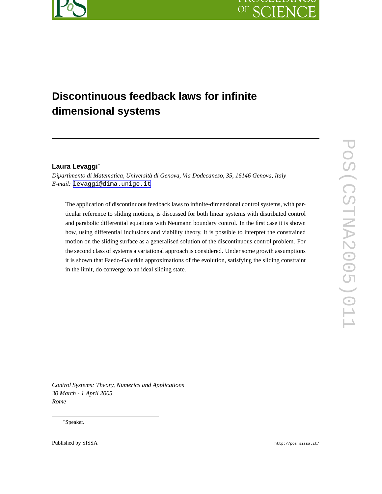

# OF SC IEN

# **Discontinuous feedback laws for infinite dimensional systems**

## **Laura Levaggi**∗

*Dipartimento di Matematica, Università di Genova, Via Dodecaneso, 35, 16146 Genova, Italy E-mail:* [levaggi@dima.unige.it](mailto:levaggi@dima.unige.it)

The application of discontinuous feedback laws to infinite-dimensional control systems, with particular reference to sliding motions, is discussed for both linear systems with distributed control and parabolic differential equations with Neumann boundary control. In the first case it is shown how, using differential inclusions and viability theory, it is possible to interpret the constrained motion on the sliding surface as a generalised solution of the discontinuous control problem. For the second class of systems a variational approach is considered. Under some growth assumptions it is shown that Faedo-Galerkin approximations of the evolution, satisfying the sliding constraint in the limit, do converge to an ideal sliding state.

*Control Systems: Theory, Numerics and Applications 30 March - 1 April 2005 Rome*

∗Speaker.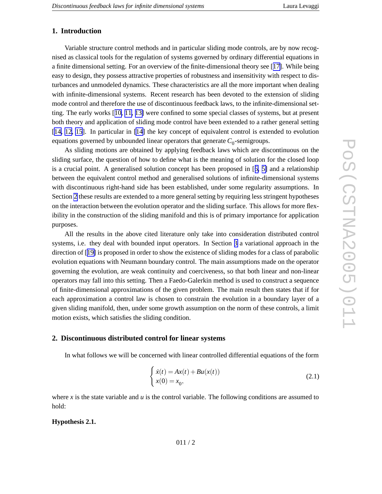## <span id="page-1-0"></span>**1. Introduction**

Variable structure control methods and in particular sliding mode controls, are by no w recognised as classical tools for the regulation of systems governed by ordinary differential equations in a finite dimensional setting. For an overview of the finite-dimensional theory see [[17\]](#page-11-0). While being easy to design, they possess attractive properties of robustness and insensitivity with respect to disturbances and unmodeled dynamics. These characteristics are all the more important when dealing with infinite-dimensional systems. Recent research has been de voted to the extension of sliding mode control and therefore the use of discontinuous feedback laws, to the infinite-dimensional setting. The early works [[10,](#page-11-0) [11,](#page-11-0) [13\]](#page-11-0) were confined to some special classes of systems, but at present both theory and application of sliding mode control have been extended to a rather general setting [[14](#page-11-0), [12](#page-11-0), [15](#page-11-0)]. In particular in [\[14](#page-11-0)] the key concept of equivalent control is extended to evolution equations governed by unbounded linear operators that generate  $C_0$ -semigroups.

As sliding motions are obtained by applying feedback laws which are discontinuous on the sliding surface, the question of ho w to define what is the meaning of solution for the closed loop is a crucial point. A generalised solution concept has been proposed in [[6](#page-10-0) , [5](#page-10-0) ] and a relationship between the equi valent control method and generalised solutions of infinite-dimensional systems with discontinuous right-hand side has been established, under some regularity assumptions. In Section 2 these results are extended to a more general setting by requiring less stringent hypotheses on the interaction between the evolution operator and the sliding surface. This allows for more flexibility in the construction of the sliding manifold and this is of primary importance for application purposes.

All the results in the abo v e cited literature only tak e into consideration distributed control systems, i.e. they deal with bounded input operators. In Section [3](#page-6-0) a variational approach in the direction of [[19](#page-11-0) ] is proposed in order to sho w the existence of sliding modes for a class of parabolic e volution equations with Neumann boundary control. The main assumptions made on the operator go verning the e volution, are weak continuity and coerci veness, so that both linear and non-linear operators may fall into this setting. Then a Faedo-Galerkin method is used to construct a sequence of finite-dimensional approximations of the gi ven problem. The main result then states that if for each approximation a control law is chosen to constrain the evolution in a boundary layer of a gi ven sliding manifold, then, under some growth assumption on the norm of these controls, a limit motion exists, which satisfies the sliding condition.

### **2. Discontinuous distributed control for linear systems**

In what follows we will be concerned with linear controlled differential equations of the form

$$
\begin{cases}\n\dot{x}(t) = Ax(t) + Bu(x(t)) \\
x(0) = x_0,\n\end{cases}
$$
\n(2.1)

where  $x$  is the state variable and  $u$  is the control variable. The following conditions are assumed to hold:

**Hypothesis 2.1.**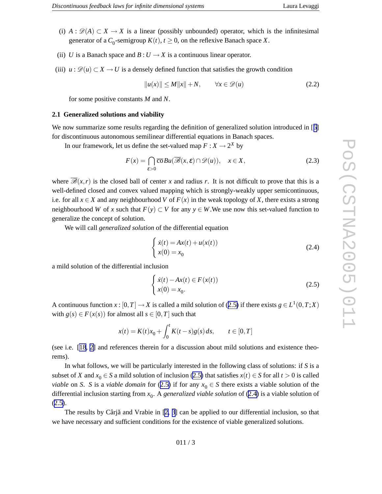- (i)  $A: \mathscr{D}(A) \subset X \to X$  is a linear (possibly unbounded) operator, which is the infinitesimal generator of a  $C_0$ -semigroup  $K(t)$ ,  $t \ge 0$ , on the reflexive Banach space X.
- (ii) *U* is a Banach space and *B* :  $U \rightarrow X$  is a continuous linear operator.
- (iii)  $u : \mathcal{D}(u) \subset X \to U$  is a densely defined function that satisfies the growth condition

$$
||u(x)|| \le M||x|| + N, \qquad \forall x \in \mathscr{D}(u)
$$
 (2.2)

for some positive constants *M* and *N*.

#### **2.1 Generalized solutions and viability**

We now summarize some results regarding the definition of generalized solution introduced in [[6](#page-10-0)] for discontinuous autonomous semilinear differential equations in Banach spaces.

In our framework, let us define the set-valued map  $F: X \to 2^X$  by

$$
F(x) = \bigcap_{\varepsilon > 0} \overline{\text{co}}Bu(\overline{\mathscr{B}}(x,\varepsilon) \cap \mathscr{D}(u)), \quad x \in X,
$$
 (2.3)

where  $\overline{\mathscr{B}}(x,r)$  is the closed ball of center x and radius r. It is not difficult to prove that this is a well-defined closed and convex valued mapping which is strongly-weakly upper semicontinuous, i.e. for all  $x \in X$  and any neighbourhood *V* of  $F(x)$  in the weak topology of *X*, there exists a strong neighbourhood *W* of *x* such that  $F(y) \subset V$  for any  $y \in W$ . We use now this set-valued function to generalize the concept of solution.

We will call *generalized solution* of the differential equation

$$
\begin{cases}\n\dot{x}(t) = Ax(t) + u(x(t)) \\
x(0) = x_0\n\end{cases}
$$
\n(2.4)

a mild solution of the differential inclusion

$$
\begin{cases}\n\dot{x}(t) - Ax(t) \in F(x(t)) \\
x(0) = x_0.\n\end{cases}
$$
\n(2.5)

A continuous function  $x$  :  $[0, T] \rightarrow X$  is called a mild solution of (2.5) if there exists  $g \in L^1(0, T; X)$ with  $g(s) \in F(x(s))$  for almost all  $s \in [0, T]$  such that

$$
x(t) = K(t)x_0 + \int_0^t K(t-s)g(s) ds, \qquad t \in [0, T]
$$

(see i.e. [\[18](#page-11-0) , [2](#page-10-0) ] and references therein for a discussion about mild solutions and existence theorems).

In what follows, we will be particularly interested in the following class of solutions: if *S* is a subset of X and  $x_0 \in S$  a mild solution of inclusion (2.5) that satisfies  $x(t) \in S$  for all  $t > 0$  is called *viable* on *S*. *S* is a *viable domain* for (2.5) if for any  $x_0 \in S$  there exists a viable solution of the differential inclusion starting from *x* 0 . A *generalized viable solution* of (2.4 ) is a viable solution of  $(2.5).$ 

The results by Cârjă and Vrabie in [\[2](#page-10-0), [3](#page-10-0)] can be applied to our differential inclusion, so that we ha v e necessary and sufficient conditions for the existence of viable generalized solutions.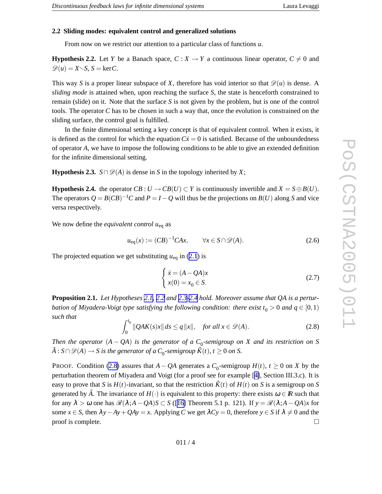### <span id="page-3-0"></span>**2.2 Sliding modes: equi valent control and generalized solutions**

From now on we restrict our attention to a particular class of functions u.

**Hypothesis 2.2.** Let Y be a Banach space,  $C: X \to Y$  a continuous linear operator,  $C \neq 0$  and  $\mathcal{D}(u) = X \setminus S$ ,  $S = \text{ker } C$ .

This way *S* is a proper linear subspace of *X*, therefore has void interior so that  $\mathcal{D}(u)$  is dense. A *sliding mode* is attained when, upon reaching the surface *S* , the state is henceforth constrained to remain (slide) on it. Note that the surface *S* is not gi ven by the problem, but is one of the control tools. The operator C has to be chosen in such a way that, once the evolution is constrained on the sliding surface, the control goal is fulfilled.

In the finite dimensional setting a key concept is that of equivalent control. When it exists, it is defined as the control for which the equation  $Cx = 0$  is satisfied. Because of the unboundedness of operator A, we have to impose the following conditions to be able to give an extended definition for the infinite dimensional setting.

**Hypothesis 2.3.**  $S \cap \mathcal{D}(A)$  is dense in *S* in the topology inherited by *X*;

**Hypothesis 2.4.** the operator  $CB: U \to CB(U) \subset Y$  is continuously invertible and  $X = S \oplus B(U)$ . The operators  $Q = B(CB)^{-1}C$  and  $P = I - Q$  will thus be the projections on  $B(U)$  along S and vice versa respecti vely .

We no w define the *equivalent control u*eq as

$$
u_{\text{eq}}(x) := (CB)^{-1}CAx, \qquad \forall x \in S \cap \mathscr{D}(A). \tag{2.6}
$$

The projected equation we get substituting  $u_{eq}$  in ([2.1](#page-1-0)) is

$$
\begin{cases}\n\dot{x} = (A - QA)x \\
x(0) = x_0 \in S.\n\end{cases}
$$
\n(2.7)

**Proposition 2.1.** *Let Hypotheses [2.1](#page-1-0) , 2.2 and 2.3-2.4 hold. Moreover assume that QA is a pertur bation of Miyadera-Voigt type satisfying the following condition: there exist*  $t_0 > 0$  *and*  $q \in [0,1)$ *suc h that*

$$
\int_0^{t_0} \|QAK(s)x\| ds \le q \|x\|, \quad \text{for all } x \in \mathcal{D}(A). \tag{2.8}
$$

Then the operator  $(A - QA)$  is the generator of a  $C_0$ -semigroup on X and its restriction on S  $\widetilde{A}: S \cap \mathscr{D}(A) \longrightarrow S$  is the generator of a  $C_0$ -semigroup  $\widetilde{K}(t)$ ,  $t \geq 0$  on S.

PROOF. Condition (2.8) assures that  $A - QA$  generates a  $C_0$ -semigroup  $H(t)$ ,  $t \ge 0$  on X by the perturbation theorem of Miyadera and Voigt (for a proof see for example [[4\]](#page-10-0), Section III.3.c). It is easy to prove that *S* is  $H(t)$ -invariant, so that the restriction  $\tilde{K}(t)$  of  $H(t)$  on *S* is a semigroup on *S* generated by  $\tilde{A}$ . The invariance of  $H(\cdot)$  is equivalent to this property: there exists  $\omega \in \mathbb{R}$  such that for any  $\lambda > \omega$  one has  $\mathcal{R}(\lambda; A - QA)S \subset S$  ([[16](#page-11-0)] Theorem 5.1 p. 121). If  $y = \mathcal{R}(\lambda; A - QA)x$  for some  $x \in S$ , then  $\lambda y - Ay + QAy = x$ . Applying *C* we get  $\lambda Cy = 0$ , therefore  $y \in S$  if  $\lambda \neq 0$  and the proof is complete.  $\Box$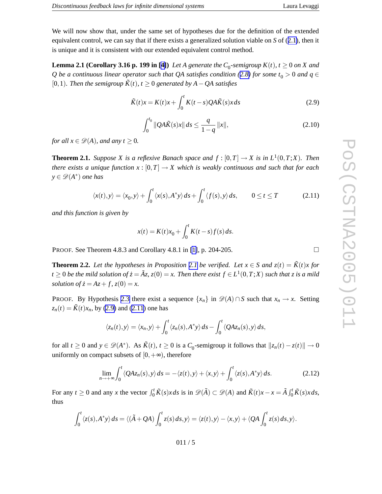$\Box$ 

<span id="page-4-0"></span>We will now show that, under the same set of hypotheses due for the definition of the extended equi valent control, we can say that if there exists a generalized solution viable on *S* of ([2.1\)](#page-1-0), then it is unique and it is consistent with our extended equivalent control method.

**Lemma 2.1 (Corollary 3.16 p. 199 in [\[4\]](#page-10-0))** Let A generate the  $C_0$ -semigroup  $K(t)$ ,  $t \ge 0$  on X and Q be a continuous linear operator such that QA satisfies condition ([2.8](#page-3-0)) for some  $t_0 > 0$  and  $q \in$ [0,1]. *Then the semigroup*  $\tilde{K}(t)$ ,  $t \ge 0$  *generated by*  $A - QA$  *satisfies* 

$$
\tilde{K}(t)x = K(t)x + \int_0^t K(t-s)QA\tilde{K}(s)x ds
$$
\n(2.9)

$$
\int_0^{t_0} \|Q A \tilde{K}(s) x\| ds \le \frac{q}{1-q} \|x\|,\tag{2.10}
$$

for all  $x \in \mathcal{D}(A)$ , and any  $t \geq 0$ .

**Theorem 2.1.** Suppose X is a reflexive Banach space and  $f : [0,T] \to X$  is in  $L^1(0,T;X)$ . Then there exists a unique function  $x:[0,T]\to X$  which is weakly continuous and such that for each  $y \in \mathscr{D}(A^*)$  *one* has

$$
\langle x(t), y \rangle = \langle x_0, y \rangle + \int_0^t \langle x(s), A^* y \rangle ds + \int_0^t \langle f(s), y \rangle ds, \qquad 0 \le t \le T \tag{2.11}
$$

*and this function is given by*

$$
x(t) = K(t)x_0 + \int_0^t K(t - s) f(s) ds.
$$

P R O O F . See Theorem 4.8.3 and Corollary 4.8.1 in [\[1\]](#page-10-0), p. 204-205.

**Theorem 2.2.** Let the hypotheses in Proposition [2.1](#page-3-0) be verified. Let  $x \in S$  and  $z(t) = \tilde{K}(t)x$  for  $t\geq 0$  be the mild solution of  $\dot{z}=\tilde{A}z$ ,  $z(0)=x$ . Then there exist  $f\in L^1(0,T;X)$  such that  $z$  is a mild *solution of*  $\dot{z} = Az + f$ ,  $z(0) = x$ .

PROOF. By Hypothesis [2.3](#page-3-0) there exist a sequence  $\{x_n\}$  in  $\mathscr{D}(A) \cap S$  such that  $x_n \to x$ . Setting  $z_n(t) = \tilde{K}(t)x_n$ , by (2.9) and (2.11) one has

$$
\langle z_n(t),y\rangle=\langle x_n,y\rangle+\int_0^t\langle z_n(s),A^*y\rangle ds-\int_0^t\langle QAz_n(s),y\rangle ds,
$$

for all  $t \ge 0$  and  $y \in \mathcal{D}(A^*)$ . As  $\tilde{K}(t)$ ,  $t \ge 0$  is a  $C_0$ -semigroup it follows that  $||z_n(t) - z(t)|| \to 0$ uniformly on compact subsets of  $[0, +\infty)$ , therefore

$$
\lim_{n \to +\infty} \int_0^t \langle QAz_n(s), y \rangle ds = -\langle z(t), y \rangle + \langle x, y \rangle + \int_0^t \langle z(s), A^*y \rangle ds. \tag{2.12}
$$

For any  $t \ge 0$  and any x the vector  $\int_0^t$  $\int_0^t \tilde{K}(s)x ds$  is in  $\mathscr{D}(\tilde{A}) \subset \mathscr{D}(A)$  and  $\tilde{K}(t)x - x = \tilde{A} \int_0^t$  $\int_0^t \tilde{K}(s)x ds$ , thus

$$
\int_0^t \langle z(s), A^* y \rangle ds = \langle (\tilde{A} + QA) \int_0^t z(s) ds, y \rangle = \langle z(t), y \rangle - \langle x, y \rangle + \langle QA \int_0^t z(s) ds, y \rangle.
$$

$$
011/5
$$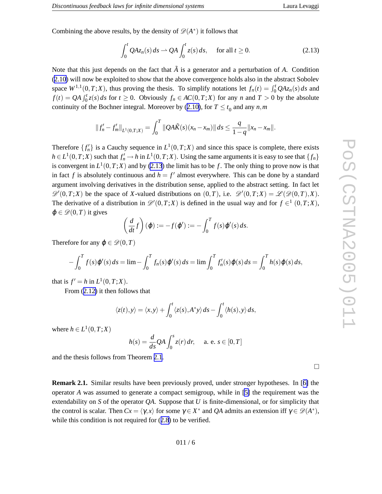Combining the above results, by the density of  $\mathscr{D}(A^*)$  it follows that

$$
\int_0^t QAz_n(s) \, ds \rightharpoonup QA \int_0^t z(s) \, ds, \quad \text{ for all } t \ge 0. \tag{2.13}
$$

Note that this just depends on the fact that  $\tilde{A}$  is a generator and a perturbation of A. Condition ([2.10](#page-4-0) ) will no w be exploited to sho w that the abo v e convergence holds also in the abstract Sobole v space  $W^{1,1}(0,T;X)$ , thus proving the thesis. To simplify notations let  $f_n(t) = \int_0^t Q A z_n(s) ds$  and  $f(t) = QA \int_0^t$  $\int_0^t z(s) ds$  for  $t \ge 0$ . Obviously  $f_n \in AC(0,T;X)$  for any *n* and  $T > 0$  by the absolute continuity of the Bochner integral. Moreover by ([2.10\)](#page-4-0), for  $T \le t_0$  and any  $n,m$ 

$$
||f'_{n} - f'_{m}||_{L^{1}(0,T;X)} = \int_{0}^{T} ||QA\tilde{K}(s)(x_{n} - x_{m})|| ds \leq \frac{q}{1-q}||x_{n} - x_{m}||.
$$

Therefore  $\{f'_n\}$  is a Cauchy sequence in  $L^1(0,T;X)$  and since this space is complete, there exists  $h \in L^1(0,T;X)$  such that  $f'_n \to h$  in  $L^1(0,T;X)$ . Using the same arguments it is easy to see that  $\{f_n\}$ is convergent in  $L^1(0,T;X)$  and by (2.13) the limit has to be f. The only thing to prove now is that in fact f is absolutely continuous and  $h = f'$  almost everywhere. This can be done by a standard argument involving derivatives in the distribution sense, applied to the abstract setting. In fact let  $\mathscr{D}'(0,T;X)$  be the space of X-valued distributions on  $(0,T)$ , i.e.  $\mathscr{D}'(0,T;X) = \mathscr{L}(\mathscr{D}(0,T),X)$ . The derivative of a distribution in  $\mathscr{D}'(0,T;X)$  is defined in the usual way and for  $f \in$ <sup>1</sup>  $(0,T;X)$ ,  $\varphi \in \mathscr{D}(0,T)$  it gives

$$
\left(\frac{d}{dt}f\right)(\varphi) := -f(\varphi') := -\int_0^T f(s)\varphi'(s) ds.
$$

Therefore for any  $\varphi \in \mathcal{D}(0,T)$ 

$$
- \int_0^T f(s) \varphi'(s) ds = \lim_{s \to 0} - \int_0^T f_n(s) \varphi'(s) ds = \lim_{s \to 0} \int_0^T f'_n(s) \varphi(s) ds = \int_0^T h(s) \varphi(s) ds,
$$

that is  $f' = h$  in  $L^1(0, T; X)$ .

From ([2.12](#page-4-0) ) it then follows that

$$
\langle z(t), y \rangle = \langle x, y \rangle + \int_0^t \langle z(s), A^* y \rangle ds - \int_0^t \langle h(s), y \rangle ds,
$$

where  $h \in L^1(0, T; X)$ 

$$
h(s) = \frac{d}{ds}QA \int_0^s z(r) dr, \quad \text{a. e. } s \in [0, T]
$$

and the thesis follows from Theorem [2.1](#page-4-0) .

**Remark 2.1.** Similar results have been previously proved, under stronger hypotheses. In [[6](#page-10-0)] the operator *A* was assumed to generate a compact semigroup, while in [\[5](#page-10-0) ] the requirement was the extendability on S of the operator QA. Suppose that U is finite-dimensional, or for simplicity that the control is scalar. Then  $Cx = \langle \gamma, x \rangle$  for some  $\gamma \in X^*$  and *QA* admits an extension iff  $\gamma \in \mathcal{D}(A^*)$ , while this condition is not required for  $(2.8)$  $(2.8)$  $(2.8)$  to be verified.

$$
011/6
$$

 $\Box$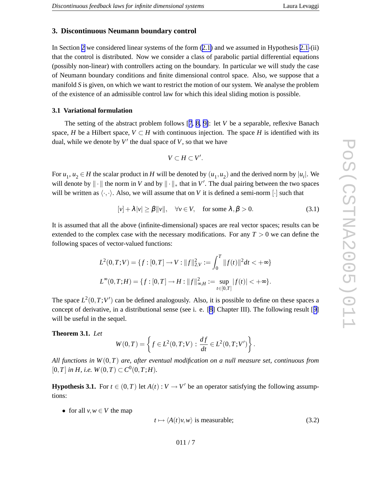## <span id="page-6-0"></span>**3. Discontinuous Neumann boundary control**

In Section [2](#page-1-0) we considered linear systems of the form ([2.1](#page-1-0) ) and we assumed in Hypothesis [2.1-](#page-1-0)(ii) that the control is distributed. No w we consider a class of parabolic partial differential equations (possibly non-linear) with controllers acting on the boundary . In particular we will study the case of Neumann boundary conditions and finite dimensional control space. Also, we suppose that a manifold *S* is gi ven, on which we want to restrict the motion of our system. We analyse the problem of the existence of an admissible control la w for which this ideal sliding motion is possible.

#### **3.1 Variational formulation**

The setting of the abstract problem follows  $[7, 8, 9]$  $[7, 8, 9]$  $[7, 8, 9]$  $[7, 8, 9]$  $[7, 8, 9]$  $[7, 8, 9]$ : let  $V$  be a separable, reflexive Banach space, *H* be a Hilbert space,  $V \subset H$  with continuous injection. The space *H* is identified with its dual, while we denote by  $V'$  the dual space of  $V$ , so that we have

$$
V\subset H\subset V'.
$$

For  $u_1, u_2 \in H$  the scalar product in H will be denoted by  $(u_1, u_2)$  and the derived norm by  $|u_i|$ . We will denote by  $\|\cdot\|$  the norm in *V* and by  $\|\cdot\|_*$  that in *V'*. The dual pairing between the two spaces will be written as  $\langle \cdot, \cdot \rangle$ . Also, we will assume that on *V* it is defined a semi-norm [ $\cdot$ ] such that

$$
[\nu] + \lambda |\nu| \ge \beta ||\nu||, \quad \forall \nu \in V, \quad \text{for some } \lambda, \beta > 0. \tag{3.1}
$$

It is assumed that all the abo v e (infinite-dimensional) spaces are real vector spaces; results can be extended to the complex case with the necessary modifications. For any  $T > 0$  we can define the following spaces of vector-valued functions:

$$
L^{2}(0,T;V) = \{f : [0,T] \to V : ||f||_{2,V}^{2} := \int_{0}^{T} ||f(t)||^{2} dt < +\infty\}
$$
  

$$
L^{\infty}(0,T;H) = \{f : [0,T] \to H : ||f||_{\infty,H}^{2} := \sup_{t \in [0,T]} |f(t)| < +\infty\}.
$$

The space  $L^2(0,T;V')$  can be defined analogously. Also, it is possible to define on these spaces a concept of derivative, in a distributional sense (see i. e. [[8](#page-11-0)] Chapter III). The following result [[9](#page-11-0)] will be useful in the sequel.

#### **Theorem 3.1.** *Let*

$$
W(0,T) = \left\{ f \in L^{2}(0,T;V) : \frac{df}{dt} \in L^{2}(0,T;V') \right\}.
$$

All functions in  $W(0,T)$  are, after eventual modification on a null measure set, continuous from  $[0, T]$  *in H*, *i.e.*  $W(0, T) \subset C^0(0, T; H)$ .

**Hypothesis 3.1.** For  $t \in (0, T)$  let  $A(t) : V \to V'$  be an operator satisfying the following assumptions:

• for all  $v, w \in V$  the map

$$
t \mapsto \langle A(t)v, w \rangle \text{ is measurable};\tag{3.2}
$$

011 / 7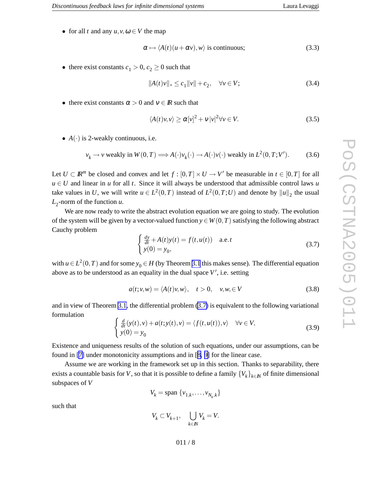<span id="page-7-0"></span>• for all *t* and any  $u, v, \omega \in V$  the map

$$
\alpha \mapsto \langle A(t)(u + \alpha v), w \rangle \text{ is continuous};
$$
\n(3.3)

• there exist constants  $c_1 > 0$ ,  $c_2 \ge 0$  such that

$$
||A(t)v||_* \le c_1 ||v|| + c_2, \quad \forall v \in V; \tag{3.4}
$$

• there exist constants  $\alpha > 0$  and  $v \in \mathbb{R}$  such that

$$
\langle A(t)v, v \rangle \ge \alpha [v]^2 + v |v|^2 \forall v \in V. \tag{3.5}
$$

•  $A(\cdot)$  is 2-weakly continuous, i.e.

$$
v_k \to v \text{ weakly in } W(0,T) \Longrightarrow A(\cdot)v_k(\cdot) \to A(\cdot)v(\cdot) \text{ weakly in } L^2(0,T;V').
$$
 (3.6)

Let  $U \subset \mathbb{R}^m$  be closed and convex and let  $f : [0, T] \times U \to V'$  be measurable in  $t \in [0, T]$  for all  $u \in U$  and linear in *u* for all *t*. Since it will always be understood that admissible control laws *u* take values in U, we will write  $u \in L^2(0,T)$  instead of  $L^2(0,T;U)$  and denote by  $||u||_2$  the usual  $L_2$ -norm of the function *u*.

We are now ready to write the abstract evolution equation we are going to study. The evolution of the system will be given by a vector-valued function  $y \in W(0,T)$  satisfying the following abstract Cauch y problem

$$
\begin{cases} \frac{dy}{dt} + A(t)y(t) = f(t, u(t)) & \text{a.e.} t\\ y(0) = y_0, \end{cases}
$$
\n(3.7)

with  $u \in L^2(0,T)$  and for some  $y_0 \in H$  (by Theorem [3.1](#page-6-0) this makes sense). The differential equation above as to be understood as an equality in the dual space  $V'$ , i.e. setting

$$
a(t; v, w) = \langle A(t)v, w \rangle, \quad t > 0, \quad v, w \in V
$$
\n(3.8)

and in view of Theorem [3.1](#page-6-0), the differential problem (3.7) is equivalent to the following variational formulation

$$
\begin{cases} \frac{d}{dt}(y(t), v) + a(t; y(t), v) = \langle f(t, u(t)), v \rangle & \forall v \in V, \\ y(0) = y_0 & \end{cases}
$$
\n(3.9)

Existence and uniqueness results of the solution of such equations, under our assumptions, can be found in [\[7](#page-10-0)] under monotonicity assumptions and in [[8](#page-11-0), [9](#page-11-0)] for the linear case.

Assume we are working in the frame work set up in this section. Thanks to separability , there exists a countable basis for *V*, so that it is possible to define a family  $\{V_k\}_{k \in \mathbb{N}}$  of finite dimensional subspaces of *V*

$$
V_k = \text{span}\{v_{1,k}, \dots, v_{N_k,k}\}\
$$

such that

$$
V_k\subset V_{k+1},\quad \bigcup_{k\in I\!\!N}V_k=V.
$$

011 / 8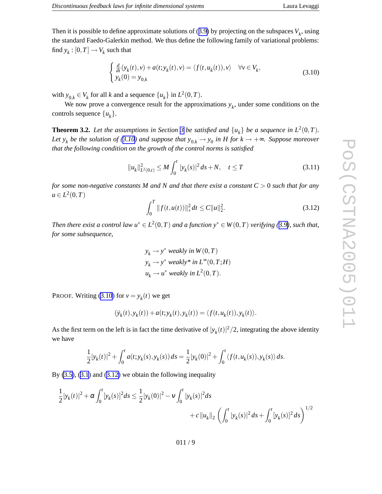<span id="page-8-0"></span>Then it is possible to define approximate solutions of  $(3.9)$  $(3.9)$  $(3.9)$  by projecting on the subspaces  $V_k$ , using the standard Faedo-Galerkin method. We thus define the following family of variational problems: find  $y_k : [0, T] \to V_k$  such that

$$
\begin{cases} \frac{d}{dt}(y_k(t), v) + a(t; y_k(t), v) = \langle f(t, u_k(t)), v \rangle & \forall v \in V_k, \\ y_k(0) = y_{0,k} \end{cases}
$$
\n(3.10)

with  $y_{0,k} \in V_k$  for all *k* and a sequence  $\{u_k\}$  in  $L^2(0,T)$ .

We now prove a convergence result for the approximations  $y_k$ , under some conditions on the controls sequence  $\{u_k\}$ .

**Theorem [3](#page-6-0).2.** Let the assumptions in Section 3 be satisfied and  $\{u_k\}$  be a sequence in  $L^2(0,T)$ . Let  $y_k$  be the solution of (3.10) and suppose that  $y_{0,k} \to y_0$  in H for  $k \to +\infty$ . Suppose moreover *that the following condition on the growth of the control norms is satisfied*

$$
||u_k||_{L^2(0,t)}^2 \le M \int_0^t |y_k(s)|^2 ds + N, \quad t \le T
$$
\n(3.11)

for some non-negative constants M and N and that there exist a constant  $C > 0$  such that for any  $u \in L^2(0,T)$ 

$$
\int_0^T \|f(t, u(t))\|_*^2 dt \le C \|u\|_2^2. \tag{3.12}
$$

Then there exist a control law  $u^* \in L^2(0,T)$  and a function  $y^* \in W(0,T)$  verifying ([3.9\)](#page-7-0), such that, *for some subsequence ,*

$$
y_k \to y^* \text{ weakly in } W(0, T)
$$
  
\n
$$
y_k \to y^* \text{ weakly* in } L^{\infty}(0, T; H)
$$
  
\n
$$
u_k \to u^* \text{ weakly in } L^2(0, T).
$$

PROOF. Writing (3.10) for  $v = y_k(t)$  we get

$$
(\dot{y}_k(t), y_k(t)) + a(t; y_k(t), y_k(t)) = \langle f(t, u_k(t)), y_k(t) \rangle.
$$

As the first term on the left is in fact the time derivative of  $|y_k(t)|^2/2$ , integrating the above identity we ha v e

$$
\frac{1}{2}|y_k(t)|^2 + \int_0^t a(t; y_k(s), y_k(s)) ds = \frac{1}{2}|y_k(0)|^2 + \int_0^t \langle f(t, u_k(s)), y_k(s) \rangle ds.
$$

By [\(3.5](#page-7-0)), ([3.1](#page-6-0)) and (3.12) we obtain the following inequality

$$
\frac{1}{2}|y_k(t)|^2 + \alpha \int_0^t [y_k(s)]^2 ds \le \frac{1}{2}|y_k(0)|^2 - \nu \int_0^t |y_k(s)|^2 ds + c \|u_k\|_2 \left(\int_0^t |y_k(s)|^2 ds + \int_0^t [y_k(s)]^2 ds\right)^{1/2}
$$

011 / 9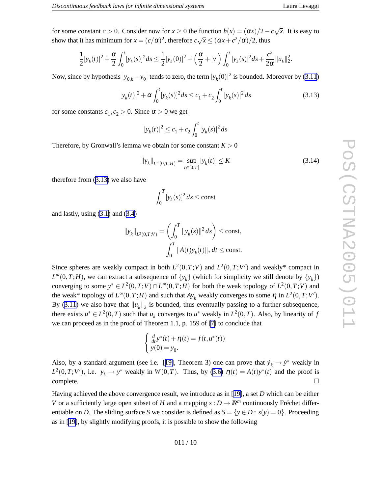<span id="page-9-0"></span>for some constant  $c > 0$ . Consider now for  $x \ge 0$  the function  $h(x) = (\alpha x)/2 - c\sqrt{x}$ . It is easy to show that it has minimum for  $x = (c/\alpha)^2$ , therefore  $c\sqrt{x} \le (\alpha x + c^2/\alpha)/2$ , thus

$$
\frac{1}{2}|y_k(t)|^2 + \frac{\alpha}{2}\int_0^t [y_k(s)]^2 ds \leq \frac{1}{2}|y_k(0)|^2 + \left(\frac{\alpha}{2} + |v|\right)\int_0^t |y_k(s)|^2 ds + \frac{c^2}{2\alpha}||u_k||_2^2.
$$

Now, since by hypothesis  $|y_{0,k} - y_0|$  tends to zero, the term  $|y_k(0)|^2$  is bounded. Moreover by [\(3.11](#page-8-0))

$$
|y_k(t)|^2 + \alpha \int_0^t [y_k(s)]^2 ds \le c_1 + c_2 \int_0^t |y_k(s)|^2 ds \tag{3.13}
$$

for some constants  $c_1, c_2 > 0$ . Since  $\alpha > 0$  we get

$$
|y_k(t)|^2 \le c_1 + c_2 \int_0^t |y_k(s)|^2 ds
$$

Therefore, by Gronwall's lemma we obtain for some constant  $K > 0$ 

$$
||y_k||_{L^{\infty}(0,T;H)} = \sup_{t \in [0,T]} |y_k(t)| \le K
$$
\n(3.14)

therefore from (3.13 ) we also ha v e

$$
\int_0^T [y_k(s)]^2 ds \le \text{const}
$$

and lastly , using [\(3.1](#page-6-0) ) and [\(3.4](#page-7-0) )

$$
||y_k||_{L^2(0,T;V)} = \left(\int_0^T ||y_k(s)||^2 ds\right) \le \text{const},
$$
  

$$
\int_0^T ||A(t)y_k(t)||_* dt \le \text{const}.
$$

Since spheres are weakly compact in both  $L^2(0,T;V)$  and  $L^2(0,T;V')$  and weakly\* compact in  $L^{\infty}(0,T;H)$ , we can extract a subsequence of  $\{y_k\}$  (which for simplicity we still denote by  $\{y_k\}$ ) converging to some  $y^* \in L^2(0,T;V) \cap L^{\infty}(0,T;H)$  for both the weak topology of  $L^2(0,T;V)$  and the weak\* topology of  $L^{\infty}(0,T;H)$  and such that  $Ay_k$  weakly converges to some  $\eta$  in  $L^2(0,T;V')$ . By [\(3.11](#page-8-0)) we also have that  $||u_k||_2$  is bounded, thus eventually passing to a further subsequence, there exists  $u^* \in L^2(0,T)$  such that  $u_k$  converges to  $u^*$  weakly in  $L^2(0,T)$ . Also, by linearity of *f* we can proceed as in the proof of Theorem 1.1, p. 159 of [\[7](#page-10-0) ] to conclude that

$$
\begin{cases} \frac{d}{dt}y^*(t) + \eta(t) = f(t, u^*(t)) \\ y(0) = y_0. \end{cases}
$$

Also, by a standard argument (see i.e. [[19\]](#page-11-0), Theorem 3) one can prove that  $\dot{y}_k \to \dot{y}^*$  weakly in  $L^2(0,T;V')$ , i.e.  $y_k \to y^*$  weakly in  $W(0,T)$ . Thus, by ([3.6](#page-7-0))  $\eta(t) = A(t)y^*(t)$  and the proof is complete.  $\Box$ 

Having achieved the above convergence result, we introduce as in [[19\]](#page-11-0), a set *D* which can be either *V* or a sufficiently large open subset of *H* and a mapping  $s: D \to \mathbb{R}^m$  continuously Fréchet differentiable on *D*. The sliding surface *S* we consider is defined as  $S = \{y \in D : s(y) = 0\}$ . Proceeding as in [[19\]](#page-11-0), by slightly modifying proofs, it is possible to sho w the following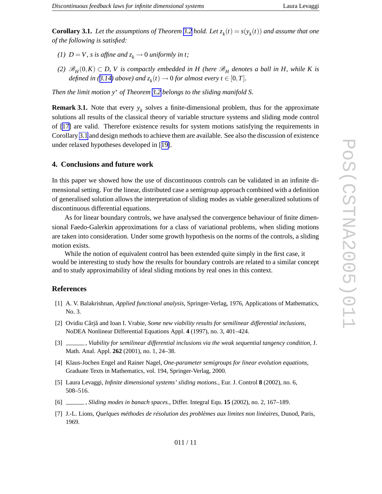<span id="page-10-0"></span>**Corollary 3.1.** Let the assumptions of Theorem [3.2](#page-8-0) hold. Let  $z_k(t) = s(y_k(t))$  and assume that one *of the following is satisfied:*

- *(1)*  $D = V$ , *s is affine and*  $z_k \to 0$  *uniformly in t*;
- (2)  $\mathscr{B}_H(0,K) \subset D$ , V is compactly embedded in H (here  $\mathscr{B}_H$  denotes a ball in H, while K is *defined in* ([3.14](#page-9-0)) *above*) *and*  $z_k(t) \rightarrow 0$  *for almost every*  $t \in [0, T]$ *.*

*Then the limit motion*  $y^*$  *of Theorem [3.2](#page-8-0) belongs to the sliding manifold S.* 

**Remark 3.1.** Note that every  $y_k$  solves a finite-dimensional problem, thus for the approximate solutions all results of the classical theory of variable structure systems and sliding mode control of [[17](#page-11-0) ] are valid. Therefore existence results for system motions satisfying the requirements in Corollary 3.1 and design methods to achieve them are available. See also the discussion of existence under relaxed hypotheses de veloped in [[19\]](#page-11-0).

# **4. Conclusions and futur e work**

In this paper we showed ho w the use of discontinuous controls can be validated in an infinite dimensional setting. For the linear, distributed case a semigroup approach combined with a definition of generalised solution allows the interpretation of sliding modes as viable generalized solutions of discontinuous differential equations.

As for linear boundary controls, we have analysed the convergence behaviour of finite dimensional Faedo-Galerkin approximations for a class of variational problems, when sliding motions are taken into consideration. Under some growth hypothesis on the norms of the controls, a sliding motion exists.

While the notion of equi valent control has been extended quite simply in the first case, it would be interesting to study ho w the results for boundary controls are related to a similar concept and to study approximability of ideal sliding motions by real ones in this context.

# **References**

- [1] A. V. Balakrishnan, *Applied functional analysis* , Springer-Verlag, 1976, Applications of Mathematics, No. 3.
- [2] Ovidiu Cârj a˘ and Ioan I. Vrabie, *Some ne w viability results for semilinear differential inclusions* , NoDEA Nonlinear Differential Equations Appl. **4** (1997), no. 3, 401–424.
- [3] , *Viability for semilinear differential inclusions via the weak sequential tangency condition* , J. Math. Anal. Appl. **262** (2001), no. 1, 24–38.
- [4] Klaus-Jochen Engel and Rainer Nagel, *One-parameter semigroups for linear evolution equations* , Graduate Texts in Mathematics, vol. 194, Springer-Verlag, 2000.
- [5] Laura Le vaggi, *Infinite dimensional systems' sliding motions.* , Eur . J. Control **8** (2002), no. 6, 508–516.
- [6] , *Sliding modes in banac h spaces.* , Differ . Integral Equ. **15** (2002), no. 2, 167–189.
- [7] J.-L. Lions, *Quelques méthodes de résolution des problèmes aux limites non linéaires* , Dunod, Paris, 1969.